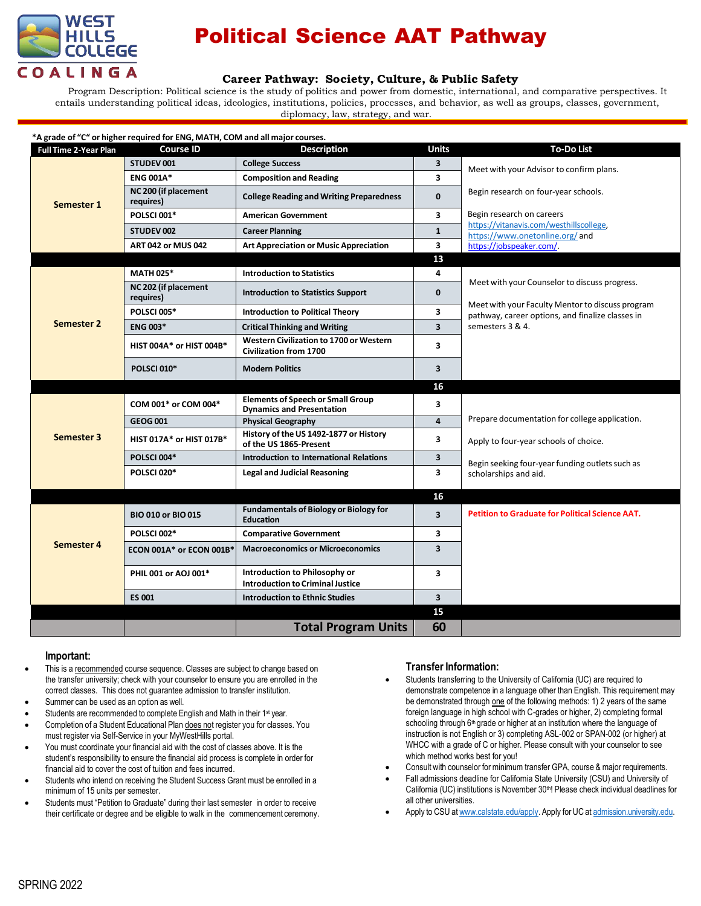

# Political Science AAT Pathway

## **Career Pathway: Society, Culture, & Public Safety**

Program Description: Political science is the study of politics and power from domestic, international, and comparative perspectives. It entails understanding political ideas, ideologies, institutions, policies, processes, and behavior, as well as groups, classes, government, diplomacy, law, strategy, and war.

| <b>Full Time 2-Year Plan</b> | <b>Course ID</b>                  | <b>Description</b>                                                           | <b>Units</b>            | <b>To-Do List</b>                                                                                    |
|------------------------------|-----------------------------------|------------------------------------------------------------------------------|-------------------------|------------------------------------------------------------------------------------------------------|
| Semester 1                   | STUDEV 001                        | <b>College Success</b>                                                       | 3                       | Meet with your Advisor to confirm plans.                                                             |
|                              | <b>ENG 001A*</b>                  | <b>Composition and Reading</b>                                               | 3                       |                                                                                                      |
|                              | NC 200 (if placement<br>requires) | <b>College Reading and Writing Preparedness</b>                              | $\mathbf{0}$            | Begin research on four-year schools.                                                                 |
|                              | POLSCI 001*                       | <b>American Government</b>                                                   | $\overline{\mathbf{3}}$ | Begin research on careers                                                                            |
|                              | <b>STUDEV 002</b>                 | <b>Career Planning</b>                                                       | $\mathbf{1}$            | https://vitanavis.com/westhillscollege.<br>https://www.onetonline.org/and                            |
|                              | <b>ART 042 or MUS 042</b>         | <b>Art Appreciation or Music Appreciation</b>                                | $\overline{\mathbf{3}}$ | https://jobspeaker.com/                                                                              |
|                              |                                   |                                                                              | 13                      |                                                                                                      |
|                              | <b>MATH 025*</b>                  | <b>Introduction to Statistics</b>                                            | 4                       |                                                                                                      |
|                              | NC 202 (if placement<br>requires) | <b>Introduction to Statistics Support</b>                                    | $\mathbf{0}$            | Meet with your Counselor to discuss progress.                                                        |
|                              | <b>POLSCI 005*</b>                | <b>Introduction to Political Theory</b>                                      | 3                       | Meet with your Faculty Mentor to discuss program<br>pathway, career options, and finalize classes in |
| Semester 2                   | <b>ENG 003*</b>                   | <b>Critical Thinking and Writing</b>                                         | $\overline{\mathbf{3}}$ | semesters 3 & 4.                                                                                     |
|                              | HIST 004A* or HIST 004B*          | Western Civilization to 1700 or Western<br><b>Civilization from 1700</b>     | 3                       |                                                                                                      |
|                              | <b>POLSCI 010*</b>                | <b>Modern Politics</b>                                                       | 3                       |                                                                                                      |
|                              |                                   |                                                                              | 16                      |                                                                                                      |
| Semester 3                   | COM 001* or COM 004*              | <b>Elements of Speech or Small Group</b><br><b>Dynamics and Presentation</b> | $\overline{\mathbf{3}}$ |                                                                                                      |
|                              | <b>GEOG 001</b>                   | <b>Physical Geography</b>                                                    | $\overline{\mathbf{4}}$ | Prepare documentation for college application.                                                       |
|                              | HIST 017A* or HIST 017B*          | History of the US 1492-1877 or History<br>of the US 1865-Present             | 3                       | Apply to four-year schools of choice.                                                                |
|                              | <b>POLSCI 004*</b>                | Introduction to International Relations                                      | $\overline{\mathbf{3}}$ | Begin seeking four-year funding outlets such as                                                      |
|                              | <b>POLSCI 020*</b>                | <b>Legal and Judicial Reasoning</b>                                          | 3                       | scholarships and aid.                                                                                |
|                              |                                   |                                                                              | 16                      |                                                                                                      |
| Semester 4                   | <b>BIO 010 or BIO 015</b>         | <b>Fundamentals of Biology or Biology for</b><br><b>Education</b>            | $\overline{\mathbf{3}}$ | <b>Petition to Graduate for Political Science AAT.</b>                                               |
|                              | <b>POLSCI 002*</b>                | <b>Comparative Government</b>                                                | $\overline{\mathbf{3}}$ |                                                                                                      |
|                              | ECON 001A* or ECON 001B*          | <b>Macroeconomics or Microeconomics</b>                                      | 3                       |                                                                                                      |
|                              | PHIL 001 or AOJ 001*              | Introduction to Philosophy or<br><b>Introduction to Criminal Justice</b>     | $\overline{\mathbf{3}}$ |                                                                                                      |
|                              | <b>ES 001</b>                     | <b>Introduction to Ethnic Studies</b>                                        | $\overline{\mathbf{3}}$ |                                                                                                      |
|                              |                                   |                                                                              | 15                      |                                                                                                      |
|                              |                                   | <b>Total Program Units</b>                                                   | 60                      |                                                                                                      |

### **Important:**

- This is a recommended course sequence. Classes are subject to change based on the transfer university; check with your counselor to ensure you are enrolled in the correct classes. This does not guarantee admission to transfer institution.
- Summer can be used as an option as well.
- Students are recommended to complete English and Math in their 1<sup>st</sup> year.
- Completion of a Student Educational Plan does not register you for classes. You must register via Self-Service in your MyWestHills portal.
- You must coordinate your financial aid with the cost of classes above. It is the student's responsibility to ensure the financial aid process is complete in order for financial aid to cover the cost of tuition and fees incurred.
- Students who intend on receiving the Student Success Grant must be enrolled in a minimum of 15 units per semester.
- Students must "Petition to Graduate" during their last semester in order to receive their certificate or degree and be eligible to walk in the commencement ceremony.

### **Transfer Information:**

- Students transferring to the University of California (UC) are required to demonstrate competence in a language other than English. This requirement may be demonstrated through one of the following methods: 1) 2 years of the same foreign language in high school with C-grades or higher, 2) completing formal schooling through 6<sup>th</sup> grade or higher at an institution where the language of instruction is not English or 3) completing ASL-002 or SPAN-002 (or higher) at WHCC with a grade of C or higher. Please consult with your counselor to see which method works best for you!
- Consult with counselor for minimum transfer GPA, course & major requirements.
- Fall admissions deadline for California State University (CSU) and University of California (UC) institutions is November 30<sup>th</sup>! Please check individual deadlines for all other universities.
- Apply to CSU at [www.calstate.edu/apply.](http://www.calstate.edu/apply) Apply for UC at [admission.university.edu.](http://www.apply.universityofcalifornia.edu/)